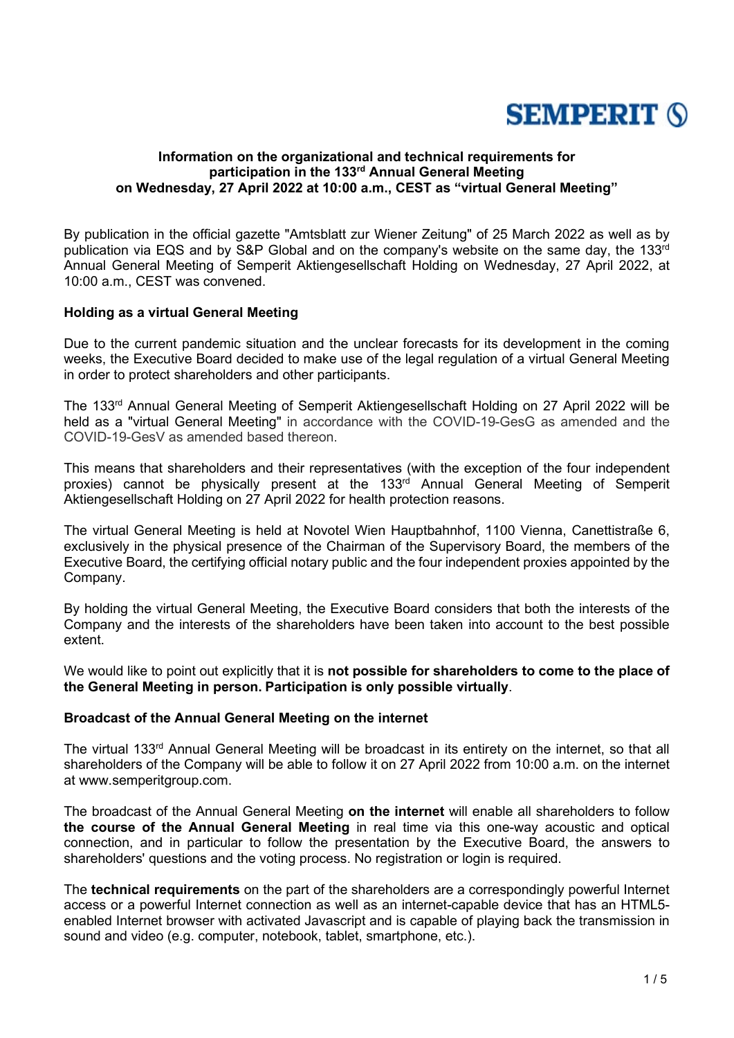

## **Information on the organizational and technical requirements for participation in the 133rd Annual General Meeting on Wednesday, 27 April 2022 at 10:00 a.m., CEST as "virtual General Meeting"**

By publication in the official gazette "Amtsblatt zur Wiener Zeitung" of 25 March 2022 as well as by publication via EQS and by S&P Global and on the company's website on the same day, the 133<sup>rd</sup> Annual General Meeting of Semperit Aktiengesellschaft Holding on Wednesday, 27 April 2022, at 10:00 a.m., CEST was convened.

## **Holding as a virtual General Meeting**

Due to the current pandemic situation and the unclear forecasts for its development in the coming weeks, the Executive Board decided to make use of the legal regulation of a virtual General Meeting in order to protect shareholders and other participants.

The 133rd Annual General Meeting of Semperit Aktiengesellschaft Holding on 27 April 2022 will be held as a "virtual General Meeting" in accordance with the COVID-19-GesG as amended and the COVID-19-GesV as amended based thereon.

This means that shareholders and their representatives (with the exception of the four independent proxies) cannot be physically present at the 133<sup>rd</sup> Annual General Meeting of Semperit Aktiengesellschaft Holding on 27 April 2022 for health protection reasons.

The virtual General Meeting is held at Novotel Wien Hauptbahnhof, 1100 Vienna, Canettistraße 6, exclusively in the physical presence of the Chairman of the Supervisory Board, the members of the Executive Board, the certifying official notary public and the four independent proxies appointed by the Company.

By holding the virtual General Meeting, the Executive Board considers that both the interests of the Company and the interests of the shareholders have been taken into account to the best possible extent.

We would like to point out explicitly that it is **not possible for shareholders to come to the place of the General Meeting in person. Participation is only possible virtually**.

#### **Broadcast of the Annual General Meeting on the internet**

The virtual 133<sup>rd</sup> Annual General Meeting will be broadcast in its entirety on the internet, so that all shareholders of the Company will be able to follow it on 27 April 2022 from 10:00 a.m. on the internet at www.semperitgroup.com.

The broadcast of the Annual General Meeting **on the internet** will enable all shareholders to follow **the course of the Annual General Meeting** in real time via this one-way acoustic and optical connection, and in particular to follow the presentation by the Executive Board, the answers to shareholders' questions and the voting process. No registration or login is required.

The **technical requirements** on the part of the shareholders are a correspondingly powerful Internet access or a powerful Internet connection as well as an internet-capable device that has an HTML5 enabled Internet browser with activated Javascript and is capable of playing back the transmission in sound and video (e.g. computer, notebook, tablet, smartphone, etc.).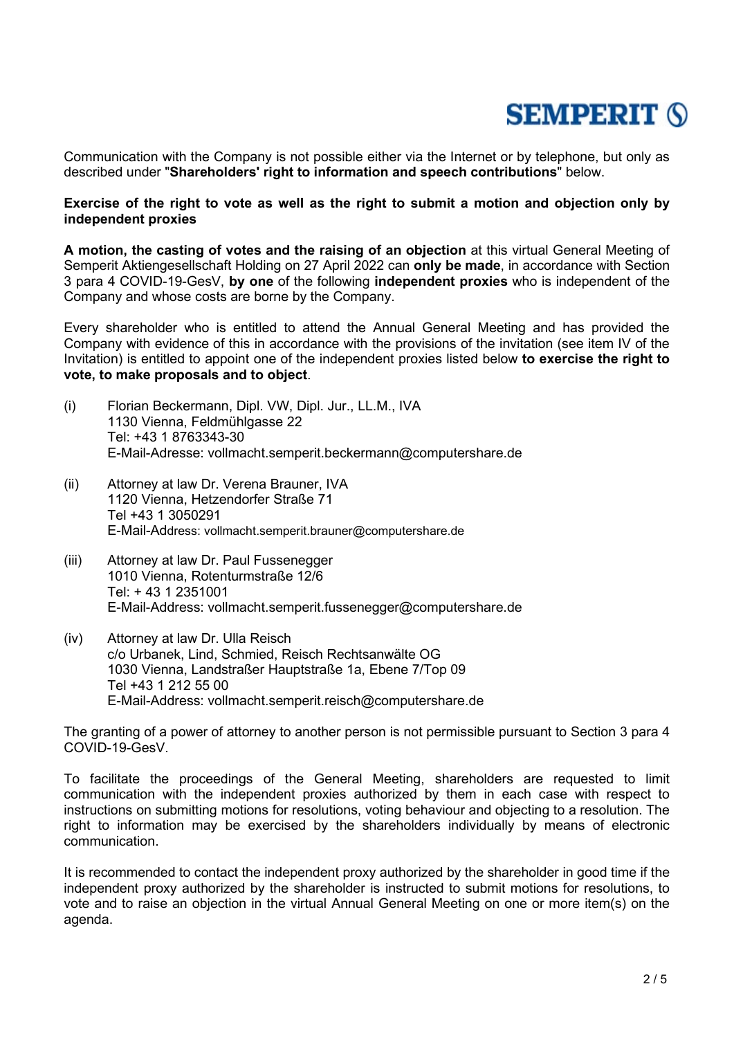Communication with the Company is not possible either via the Internet or by telephone, but only as described under "**Shareholders' right to information and speech contributions**" below.

## **Exercise of the right to vote as well as the right to submit a motion and objection only by independent proxies**

**A motion, the casting of votes and the raising of an objection** at this virtual General Meeting of Semperit Aktiengesellschaft Holding on 27 April 2022 can **only be made**, in accordance with Section 3 para 4 COVID-19-GesV, **by one** of the following **independent proxies** who is independent of the Company and whose costs are borne by the Company.

Every shareholder who is entitled to attend the Annual General Meeting and has provided the Company with evidence of this in accordance with the provisions of the invitation (see item IV of the Invitation) is entitled to appoint one of the independent proxies listed below **to exercise the right to vote, to make proposals and to object**.

- (i) Florian Beckermann, Dipl. VW, Dipl. Jur., LL.M., IVA 1130 Vienna, Feldmühlgasse 22 Tel: +43 1 8763343-30 E-Mail-Adresse: vollmacht.semperit.beckermann@computershare.de
- (ii) Attorney at law Dr. Verena Brauner, IVA 1120 Vienna, Hetzendorfer Straße 71 Tel +43 1 3050291 E-Mail-Address: vollmacht.semperit.brauner@computershare.de
- (iii) Attorney at law Dr. Paul Fussenegger 1010 Vienna, Rotenturmstraße 12/6 Tel: + 43 1 2351001 E-Mail-Address: vollmacht.semperit.fussenegger@computershare.de
- (iv) Attorney at law Dr. Ulla Reisch c/o Urbanek, Lind, Schmied, Reisch Rechtsanwälte OG 1030 Vienna, Landstraßer Hauptstraße 1a, Ebene 7/Top 09 Tel +43 1 212 55 00 E-Mail-Address: vollmacht.semperit.reisch@computershare.de

The granting of a power of attorney to another person is not permissible pursuant to Section 3 para 4 COVID-19-GesV.

To facilitate the proceedings of the General Meeting, shareholders are requested to limit communication with the independent proxies authorized by them in each case with respect to instructions on submitting motions for resolutions, voting behaviour and objecting to a resolution. The right to information may be exercised by the shareholders individually by means of electronic communication.

It is recommended to contact the independent proxy authorized by the shareholder in good time if the independent proxy authorized by the shareholder is instructed to submit motions for resolutions, to vote and to raise an objection in the virtual Annual General Meeting on one or more item(s) on the agenda.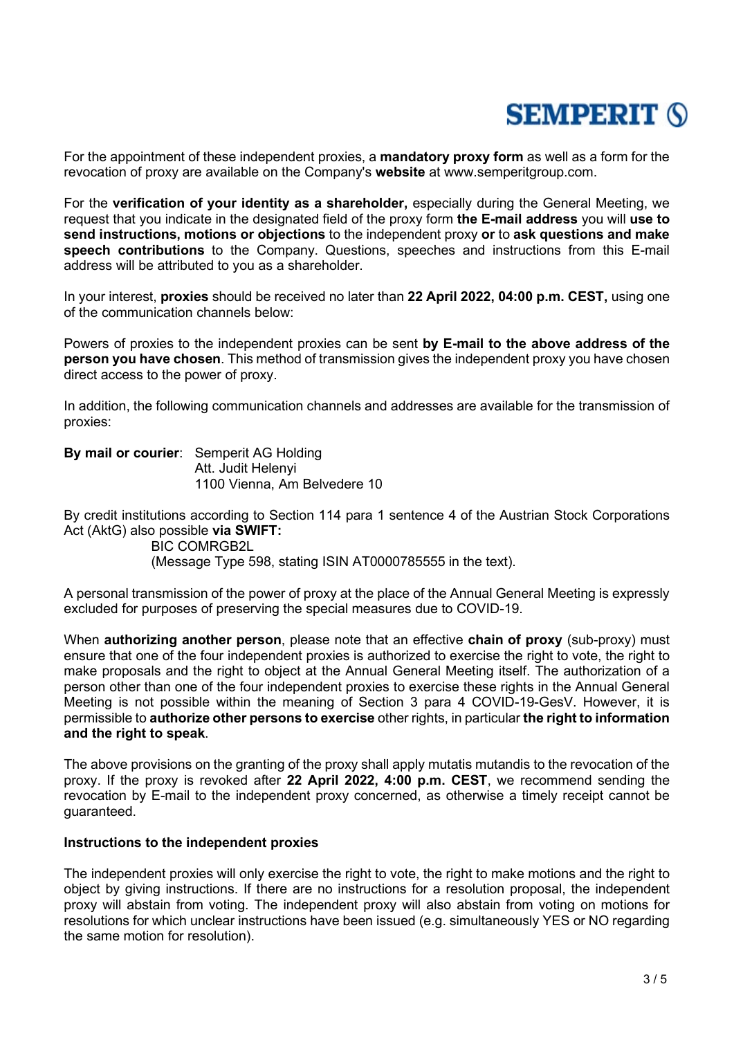For the appointment of these independent proxies, a **mandatory proxy form** as well as a form for the revocation of proxy are available on the Company's **website** at www.semperitgroup.com.

For the **verification of your identity as a shareholder,** especially during the General Meeting, we request that you indicate in the designated field of the proxy form **the E-mail address** you will **use to send instructions, motions or objections** to the independent proxy **or** to **ask questions and make speech contributions** to the Company. Questions, speeches and instructions from this E-mail address will be attributed to you as a shareholder.

In your interest, **proxies** should be received no later than **22 April 2022, 04:00 p.m. CEST,** using one of the communication channels below:

Powers of proxies to the independent proxies can be sent **by E-mail to the above address of the person you have chosen**. This method of transmission gives the independent proxy you have chosen direct access to the power of proxy.

In addition, the following communication channels and addresses are available for the transmission of proxies:

**By mail or courier**: Semperit AG Holding Att. Judit Helenyi 1100 Vienna, Am Belvedere 10

By credit institutions according to Section 114 para 1 sentence 4 of the Austrian Stock Corporations Act (AktG) also possible **via SWIFT:**

BIC COMRGB2L (Message Type 598, stating ISIN AT0000785555 in the text).

A personal transmission of the power of proxy at the place of the Annual General Meeting is expressly excluded for purposes of preserving the special measures due to COVID-19.

When **authorizing another person**, please note that an effective **chain of proxy** (sub-proxy) must ensure that one of the four independent proxies is authorized to exercise the right to vote, the right to make proposals and the right to object at the Annual General Meeting itself. The authorization of a person other than one of the four independent proxies to exercise these rights in the Annual General Meeting is not possible within the meaning of Section 3 para 4 COVID-19-GesV. However, it is permissible to **authorize other persons to exercise** other rights, in particular **the right to information and the right to speak**.

The above provisions on the granting of the proxy shall apply mutatis mutandis to the revocation of the proxy. If the proxy is revoked after **22 April 2022, 4:00 p.m. CEST**, we recommend sending the revocation by E-mail to the independent proxy concerned, as otherwise a timely receipt cannot be guaranteed.

#### **Instructions to the independent proxies**

The independent proxies will only exercise the right to vote, the right to make motions and the right to object by giving instructions. If there are no instructions for a resolution proposal, the independent proxy will abstain from voting. The independent proxy will also abstain from voting on motions for resolutions for which unclear instructions have been issued (e.g. simultaneously YES or NO regarding the same motion for resolution).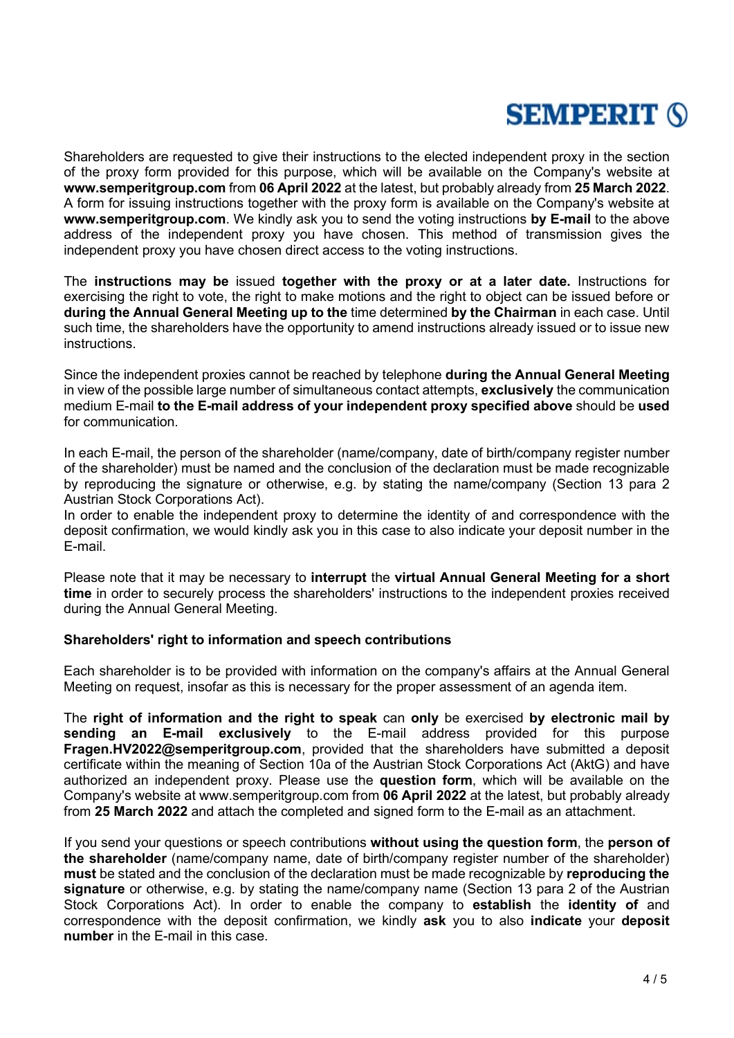Shareholders are requested to give their instructions to the elected independent proxy in the section of the proxy form provided for this purpose, which will be available on the Company's website at **www.semperitgroup.com** from **06 April 2022** at the latest, but probably already from **25 March 2022**. A form for issuing instructions together with the proxy form is available on the Company's website at **www.semperitgroup.com**. We kindly ask you to send the voting instructions **by E-mail** to the above address of the independent proxy you have chosen. This method of transmission gives the independent proxy you have chosen direct access to the voting instructions.

The **instructions may be** issued **together with the proxy or at a later date.** Instructions for exercising the right to vote, the right to make motions and the right to object can be issued before or **during the Annual General Meeting up to the** time determined **by the Chairman** in each case. Until such time, the shareholders have the opportunity to amend instructions already issued or to issue new **instructions** 

Since the independent proxies cannot be reached by telephone **during the Annual General Meeting**  in view of the possible large number of simultaneous contact attempts, **exclusively** the communication medium E-mail **to the E-mail address of your independent proxy specified above** should be **used** for communication.

In each E-mail, the person of the shareholder (name/company, date of birth/company register number of the shareholder) must be named and the conclusion of the declaration must be made recognizable by reproducing the signature or otherwise, e.g. by stating the name/company (Section 13 para 2 Austrian Stock Corporations Act).

In order to enable the independent proxy to determine the identity of and correspondence with the deposit confirmation, we would kindly ask you in this case to also indicate your deposit number in the E-mail.

Please note that it may be necessary to **interrupt** the **virtual Annual General Meeting for a short time** in order to securely process the shareholders' instructions to the independent proxies received during the Annual General Meeting.

#### **Shareholders' right to information and speech contributions**

Each shareholder is to be provided with information on the company's affairs at the Annual General Meeting on request, insofar as this is necessary for the proper assessment of an agenda item.

The **right of information and the right to speak** can **only** be exercised **by electronic mail by sending an E-mail exclusively** to the E-mail address provided for this purpose **Fragen.HV2022@semperitgroup.com**, provided that the shareholders have submitted a deposit certificate within the meaning of Section 10a of the Austrian Stock Corporations Act (AktG) and have authorized an independent proxy. Please use the **question form**, which will be available on the Company's website at www.semperitgroup.com from **06 April 2022** at the latest, but probably already from **25 March 2022** and attach the completed and signed form to the E-mail as an attachment.

If you send your questions or speech contributions **without using the question form**, the **person of the shareholder** (name/company name, date of birth/company register number of the shareholder) **must** be stated and the conclusion of the declaration must be made recognizable by **reproducing the signature** or otherwise, e.g. by stating the name/company name (Section 13 para 2 of the Austrian Stock Corporations Act). In order to enable the company to **establish** the **identity of** and correspondence with the deposit confirmation, we kindly **ask** you to also **indicate** your **deposit number** in the E-mail in this case.